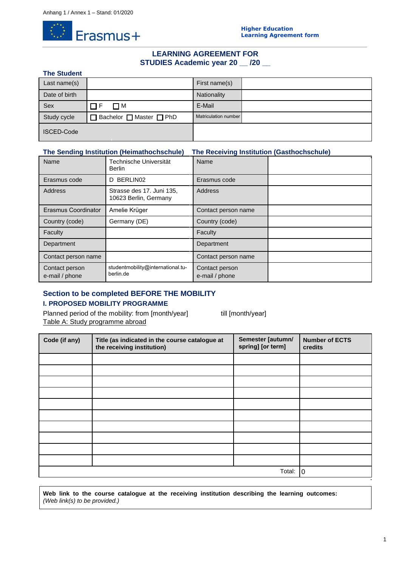

# **LEARNING AGREEMENT FOR STUDIES Academic year 20 \_\_ /20 \_\_**

## **The Student**

| Last name(s)      |                           | First name(s)        |  |
|-------------------|---------------------------|----------------------|--|
| Date of birth     |                           | Nationality          |  |
| Sex               | ΠМ                        | E-Mail               |  |
| Study cycle       | ] Bachelor □ Master □ PhD | Matriculation number |  |
| <b>ISCED-Code</b> |                           |                      |  |

# **The Sending Institution (Heimathochschule) The Receiving Institution (Gasthochschule)**

| Name                             | Technische Universität<br><b>Berlin</b>            | Name                             |  |
|----------------------------------|----------------------------------------------------|----------------------------------|--|
| Erasmus code                     | BERLIN02<br>D                                      | Erasmus code                     |  |
| <b>Address</b>                   | Strasse des 17. Juni 135,<br>10623 Berlin, Germany | Address                          |  |
| Erasmus Coordinator              | Amelie Krüger                                      | Contact person name              |  |
| Country (code)                   | Germany (DE)                                       | Country (code)                   |  |
| Faculty                          |                                                    | Faculty                          |  |
| Department                       |                                                    | Department                       |  |
| Contact person name              |                                                    | Contact person name              |  |
| Contact person<br>e-mail / phone | studentmobility@international.tu-<br>berlin.de     | Contact person<br>e-mail / phone |  |

# **Section to be completed BEFORE THE MOBILITY**

# **I. PROPOSED MOBILITY PROGRAMME**

Planned period of the mobility: from [month/year] till [month/year] Table A: Study programme abroad

| Code (if any) | Title (as indicated in the course catalogue at<br>the receiving institution) | Semester [autumn/<br>spring] [or term] | <b>Number of ECTS</b><br>credits |
|---------------|------------------------------------------------------------------------------|----------------------------------------|----------------------------------|
|               |                                                                              |                                        |                                  |
|               |                                                                              |                                        |                                  |
|               |                                                                              |                                        |                                  |
|               |                                                                              |                                        |                                  |
|               |                                                                              |                                        |                                  |
|               |                                                                              |                                        |                                  |
|               |                                                                              |                                        |                                  |
|               |                                                                              |                                        |                                  |
|               |                                                                              |                                        |                                  |
|               |                                                                              |                                        |                                  |
|               | $\Omega$                                                                     |                                        |                                  |

**Web link to the course catalogue at the receiving institution describing the learning outcomes:** *(Web link(s) to be provided.)*